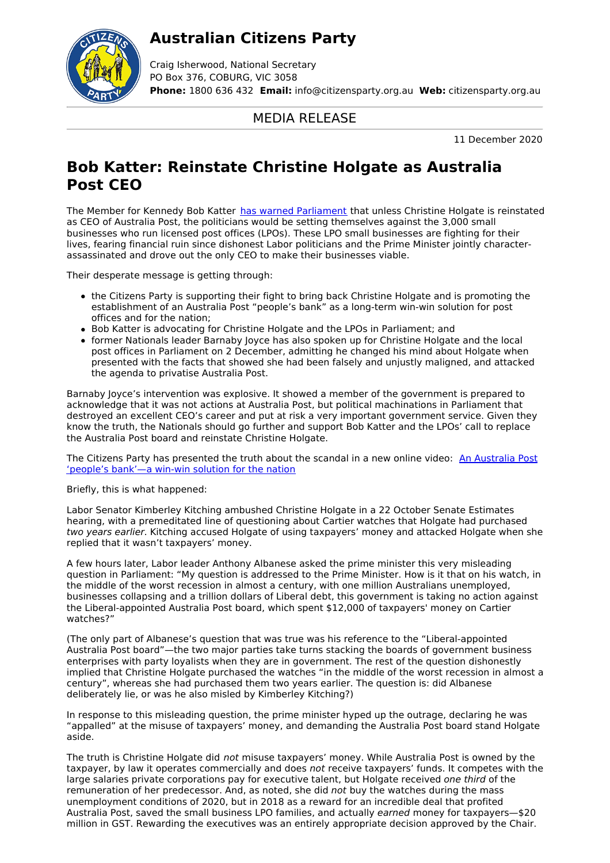## **Australian Citizens Party**



Craig Isherwood, National Secretary PO Box 376, COBURG, VIC 3058 **Phone:** 1800 636 432 **Email:** info@citizensparty.org.au **Web:** citizensparty.org.au

## MEDIA RELEASE

11 December 2020

## **Bob Katter: Reinstate Christine Holgate as Australia Post CEO**

The Member for Kennedy Bob Katter has warned [Parliament](https://youtu.be/WhYyDB0ChN4) that unless Christine Holgate is reinstated as CEO of Australia Post, the politicians would be setting themselves against the 3,000 small businesses who run licensed post offices (LPOs). These LPO small businesses are fighting for their lives, fearing financial ruin since dishonest Labor politicians and the Prime Minister jointly characterassassinated and drove out the only CEO to make their businesses viable.

Their desperate message is getting through:

- the Citizens Party is supporting their fight to bring back Christine Holgate and is promoting the establishment of an Australia Post "people's bank" as a long-term win-win solution for post offices and for the nation;
- Bob Katter is advocating for Christine Holgate and the LPOs in Parliament; and
- former Nationals leader Barnaby Joyce has also spoken up for Christine Holgate and the local post offices in Parliament on 2 December, admitting he changed his mind about Holgate when presented with the facts that showed she had been falsely and unjustly maligned, and attacked the agenda to privatise Australia Post.

Barnaby Joyce's intervention was explosive. It showed a member of the government is prepared to acknowledge that it was not actions at Australia Post, but political machinations in Parliament that destroyed an excellent CEO's career and put at risk a very important government service. Given they know the truth, the Nationals should go further and support Bob Katter and the LPOs' call to replace the Australia Post board and reinstate Christine Holgate.

The Citizens Party has [presented](https://youtu.be/r-bHMfdYzc0) the truth about the scandal in a new online video: An Australia Post 'people's bank'—a win-win solution for the nation

Briefly, this is what happened:

Labor Senator Kimberley Kitching ambushed Christine Holgate in a 22 October Senate Estimates hearing, with a premeditated line of questioning about Cartier watches that Holgate had purchased two years earlier. Kitching accused Holgate of using taxpayers' money and attacked Holgate when she replied that it wasn't taxpayers' money.

A few hours later, Labor leader Anthony Albanese asked the prime minister this very misleading question in Parliament: "My question is addressed to the Prime Minister. How is it that on his watch, in the middle of the worst recession in almost a century, with one million Australians unemployed, businesses collapsing and a trillion dollars of Liberal debt, this government is taking no action against the Liberal-appointed Australia Post board, which spent \$12,000 of taxpayers' money on Cartier watches?"

(The only part of Albanese's question that was true was his reference to the "Liberal-appointed Australia Post board"—the two major parties take turns stacking the boards of government business enterprises with party loyalists when they are in government. The rest of the question dishonestly implied that Christine Holgate purchased the watches "in the middle of the worst recession in almost a century", whereas she had purchased them two years earlier. The question is: did Albanese deliberately lie, or was he also misled by Kimberley Kitching?)

In response to this misleading question, the prime minister hyped up the outrage, declaring he was "appalled" at the misuse of taxpayers' money, and demanding the Australia Post board stand Holgate aside.

The truth is Christine Holgate did not misuse taxpayers' money. While Australia Post is owned by the taxpayer, by law it operates commercially and does not receive taxpayers' funds. It competes with the large salaries private corporations pay for executive talent, but Holgate received one third of the remuneration of her predecessor. And, as noted, she did not buy the watches during the mass unemployment conditions of 2020, but in 2018 as a reward for an incredible deal that profited Australia Post, saved the small business LPO families, and actually earned money for taxpayers—\$20 million in GST. Rewarding the executives was an entirely appropriate decision approved by the Chair.